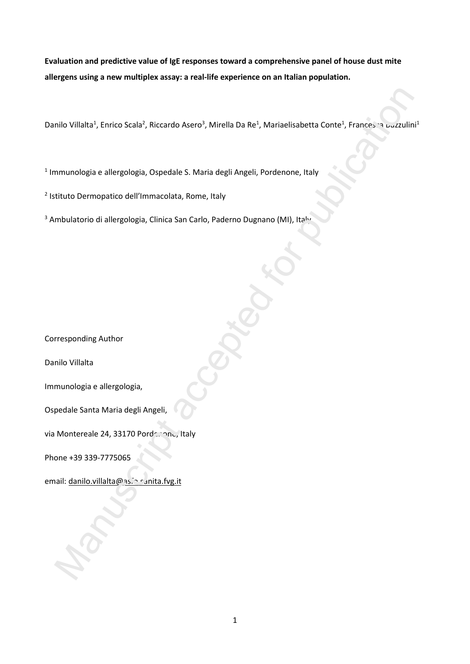**Evaluation and predictive value of IgE responses toward a comprehensive panel of house dust mite allergens using a new multiplex assay: a real-life experience on an Italian population.**

Danilo Villalta<sup>1</sup>, Enrico Scala<sup>2</sup>, Riccardo Asero<sup>3</sup>, Mirella Da Re<sup>1</sup>, Mariaelisabetta Conte<sup>1</sup>, Francesea Buzzulini<sup>1</sup> milio Villaltat, Enrico Scalat, Riccardo Asero<sup>a</sup>, Mirella Da Re<sup>i</sup>, Mariaelisabetta Contet, Francesar oczculin<br>miunologia e allergologia, Ospedale S. Maria degli Angeli, Pordenone, Italy<br>tituto Dermopatico dell'Immacolata

<sup>1</sup> Immunologia e allergologia, Ospedale S. Maria degli Angeli, Pordenone, Italy

2 Istituto Dermopatico dell'Immacolata, Rome, Italy

<sup>3</sup> Ambulatorio di allergologia, Clinica San Carlo, Paderno Dugnano (MI), Italy

Corresponding Author

Danilo Villalta

Immunologia e allergologia,

Ospedale Santa Maria degli Angeli,

via Montereale 24, 33170 Pordenone, Italy

Phone +39 339-7775065

email: danilo.villalta@as.in sanita.fvg.it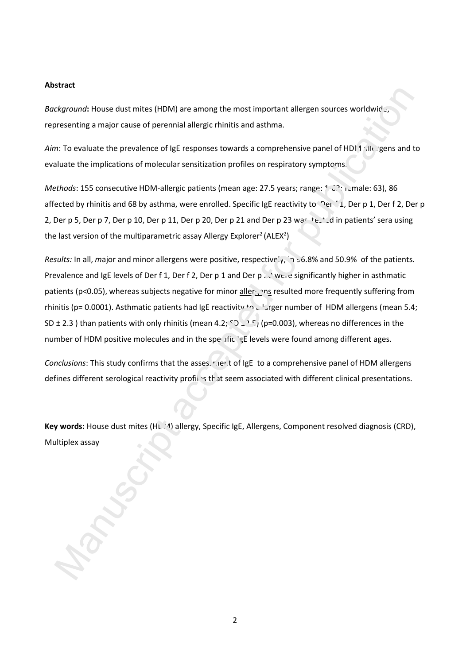### **Abstract**

Background: House dust mites (HDM) are among the most important allergen sources worldwid representing a major cause of perennial allergic rhinitis and asthma.

*Aim*: To evaluate the prevalence of IgE responses towards a comprehensive panel of HDM 1 allergens and to evaluate the implications of molecular sensitization profiles on respiratory symptoms.

*Methods*: 155 consecutive HDM-allergic patients (mean age: 27.5 years; range: 1-62; idmale: 63), 86 affected by rhinitis and 68 by asthma, were enrolled. Specific IgE reactivity to Der f 1, Der p 1, Der f 2, Der p 2, Der p 5, Der p 7, Der p 10, Der p 11, Der p 20, Der p 21 and Der p 23 was tested in patients' sera using the last version of the multiparametric assay Allergy Explorer<sup>2</sup> (ALEX<sup>2</sup>)

*Results:* In all, *m*ajor and minor allergens were positive, respectively, in 56.8% and 50.9% of the patients. Prevalence and IgE levels of Der f 1, Der f 2, Der p 1 and Der  $p \times y$  were significantly higher in asthmatic patients (p<0.05), whereas subjects negative for minor allerging resulted more frequently suffering from rhinitis (p= 0.0001). Asthmatic patients had IgE reactivity to a larger number of HDM allergens (mean 5.4; SD ± 2.3 ) than patients with only rhinitis (mean 4.2; SD  $\pm$ <sup>2.5</sup>) (p=0.003), whereas no differences in the number of HDM positive molecules and in the specific 'gE levels were found among different ages. Example thouse dust mittes (HDM) are among the most important allergen sources wondwide,<br>exercising a major cause of percennial allergic rhinkis and asthma.<br>
The columns the prevalence of IgE responses towards a comprehens

*Conclusions*: This study confirms that the asses, ruer t of IgE to a comprehensive panel of HDM allergens defines different serological reactivity profiles that seem associated with different clinical presentations.

Key words: House dust mites (HLA) allergy, Specific IgE, Allergens, Component resolved diagnosis (CRD), Multiplex assay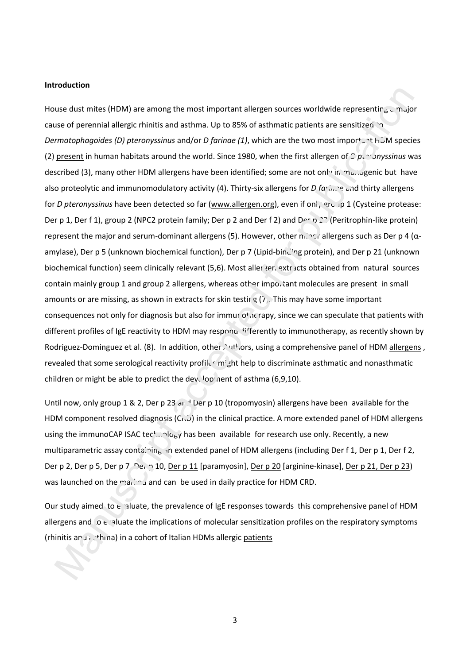### **Introduction**

House dust mites (HDM) are among the most important allergen sources worldwide representing a major cause of perennial allergic rhinitis and asthma. Up to 85% of asthmatic patients are sensitized to *Dermatophagoides (D) pteronyssinus* and/or *D farinae* (1), which are the two most important HDM species (2) present in human habitats around the world. Since 1980, when the first allergen of  $\mathcal{D}$  pteronyssinus was described (3), many other HDM allergens have been identified; some are not only in munogenic but have also proteolytic and immunomodulatory activity (4). Thirty-six allergens for *D farinae* and thirty allergens for *D pteronyssinus* have been detected so far (www.allergen.org), even if only group 1 (Cysteine protease: Der p 1, Der f 1), group 2 (NPC2 protein family; Der p 2 and Der f 2) and Der p 23 (Peritrophin-like protein) represent the major and serum-dominant allergens (5). However, other minor allergens such as Der p 4 (αamylase), Der p 5 (unknown biochemical function), Der p 7 (Lipid-binding protein), and Der p 21 (unknown biochemical function) seem clinically relevant (5,6). Most aller gen extracts obtained from natural sources contain mainly group 1 and group 2 allergens, whereas other important molecules are present in small amounts or are missing, as shown in extracts for skin testir  $g(7)$ . This may have some important consequences not only for diagnosis but also for immur otherapy, since we can speculate that patients with different profiles of IgE reactivity to HDM may respond differently to immunotherapy, as recently shown by Rodriguez-Dominguez et al. (8). In addition, other Authors, using a comprehensive panel of HDM allergens, revealed that some serological reactivity profiles might help to discriminate asthmatic and nonasthmatic children or might be able to predict the development of asthma  $(6,9,10)$ . use dust mites (HDM) are among the most important allergen sources worldwide representing  $_{6}$  multipare accepted for premision and three is the two most important and the publication of processors of premision and the pu

Until now, only group 1 & 2, Der p 23 and Der p 10 (tropomyosin) allergens have been available for the HDM component resolved diagnosis  $(C<sub>1</sub>,D)$  in the clinical practice. A more extended panel of HDM allergens using the immunoCAP ISAC technology has been available for research use only. Recently, a new multiparametric assay containing an extended panel of HDM allergens (including Der f 1, Der p 1, Der f 2, Der p 2, Der p 5, Der p 7, Der p 10, Der p 11 [paramyosin], Der p 20 [arginine-kinase], Der p 21, Der p 23) was launched on the marked and can be used in daily practice for HDM CRD.

Our study aimed to  $\epsilon$  aluate, the prevalence of IgE responses towards this comprehensive panel of HDM allergens and  $\circ$  evaluate the implications of molecular sensitization profiles on the respiratory symptoms (rhinitis and asthma) in a cohort of Italian HDMs allergic patients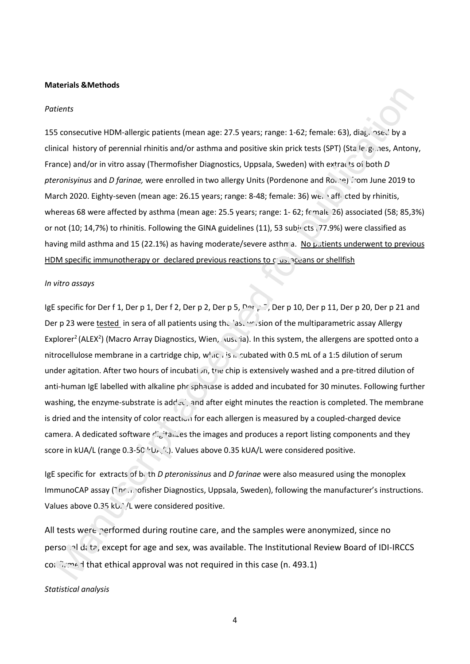#### **Materials &Methods**

#### *Patients*

155 consecutive HDM-allergic patients (mean age: 27.5 years; range: 1-62; female: 63), diag. nsed by a clinical history of perennial rhinitis and/or asthma and positive skin prick tests (SPT) (Stallergenes, Antony, France) and/or in vitro assay (Thermofisher Diagnostics, Uppsala, Sweden) with extracts of both *D pteronisyinus* and *D farinae*, were enrolled in two allergy Units (Pordenone and Rome) from June 2019 to March 2020. Eighty-seven (mean age: 26.15 years; range: 8-48; female: 36) wee affected by rhinitis, whereas 68 were affected by asthma (mean age: 25.5 years; range: 1- 62; female 26) associated (58; 85,3%) or not (10; 14,7%) to rhinitis. Following the GINA guidelines (11), 53 subjects (77.9%) were classified as having mild asthma and 15 (22.1%) as having moderate/severe asthma. No patients underwent to previous HDM specific immunotherapy or declared previous reactions to clustraceans or shellfish action of the multiparametric assay Allergy<br>
and/or asthma and positive skin prick tests (SPT) (Sta le genes, Anton<br>
and/or asthma and positive skin prick tests (SPT) (Sta le genes, Anton<br>
andler in two allergy Units (Pord

#### *In vitro assays*

IgE specific for Der f 1, Der p 1, Der f 2, Der p 2, Der p 5, Der p 10, Der p 10, Der p 11, Der p 20, Der p 21 and Der p 23 were tested in sera of all patients using the last version of the multiparametric assay Allergy Explorer<sup>2</sup> (ALEX<sup>2</sup>) (Macro Array Diagnostics, Wien, Austria). In this system, the allergens are spotted onto a nitrocellulose membrane in a cartridge chip,  $w<sub>h1</sub>C<sub>h</sub>$  is neutralized with 0.5 mL of a 1:5 dilution of serum under agitation. After two hours of incubation, the chip is extensively washed and a pre-titred dilution of anti-human IgE labelled with alkaline phr sphatase is added and incubated for 30 minutes. Following further washing, the enzyme-substrate is added, and after eight minutes the reaction is completed. The membrane is dried and the intensity of color reaction for each allergen is measured by a coupled-charged device camera. A dedicated software digitalizes the images and produces a report listing components and they score in kUA/L (range 0.3-50  $V_{\text{U-}\text{V}}(L)$ . Values above 0.35 kUA/L were considered positive.

IgE specific for extracts of both *D pteronissinus* and *D farinae* were also measured using the monoplex ImmunoCAP assay (The mofisher Diagnostics, Uppsala, Sweden), following the manufacturer's instructions. Values above 0.35 kU. <sup>1</sup> /L were considered positive.

All tests were performed during routine care, and the samples were anonymized, since no personal data, except for age and sex, was available. The Institutional Review Board of IDI-IRCCS confirmed that ethical approval was not required in this case (n. 493.1) aried and the intensity or color reaction<br>mera. A dedicated software  $r!_{\text{tot}}$ <sup>1</sup>tanzes to<br>ore in kUA/L (range 0.3-50<sup>15</sup>U<sub>F</sub>,<sup>1</sup>1). Valu<br>is pecific for extracts of both *D pteroni*.<br>munoCAP assay (1nF,1)ofisher Diagnos<br>l

*Statistical analys is*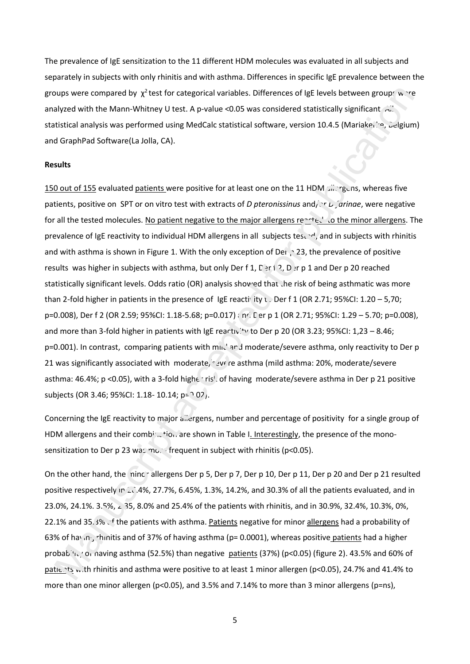The prevalence of IgE sensitization to the 11 different HDM molecules was evaluated in all subjects and separately in subjects with only rhinitis and with asthma. Differences in specific IgE prevalence between the groups were compared by  $\chi^2$  test for categorical variables. Differences of IgE levels between groups were analyzed with the Mann-Whitney U test. A p-value <0.05 was considered statistically significant  $\overrightarrow{A}$ . statistical analysis was performed using MedCalc statistical software, version 10.4.5 (Mariakerke, Belgium) and GraphPad Software(La Jolla, CA).

### **Results**

150 out of 155 evaluated patients were positive for at least one on the 11 HDM allergens, whereas five patients, positive on SPT or on vitro test with extracts of *D pteronissinus* and/ $\chi r L$  *arinae*, were negative for all the tested molecules. No patient negative to the major allergens reacted to the minor allergens. The prevalence of IgE reactivity to individual HDM allergens in all subjects tested, and in subjects with rhinitis and with asthma is shown in Figure 1. With the only exception of Der  $\cdot$  23, the prevalence of positive results was higher in subjects with asthma, but only Der f 1, D and 2, D and Der p 20 reached statistically significant levels. Odds ratio (OR) analysis showed that the risk of being asthmatic was more than 2-fold higher in patients in the presence of IgE reactivity t. Der f 1 (OR 2.71; 95%CI: 1.20 – 5,70; p=0.008), Der f 2 (OR 2.59; 95%CI: 1.18-5.68; p=0.017) and Der p 1 (OR 2.71; 95%CI: 1.29 – 5.70; p=0.008), and more than 3-fold higher in patients with IgE reactivity to Der p 20 (OR 3.23; 95%CI: 1,23 - 8.46;  $p=0.001$ ). In contrast, comparing patients with mind and moderate/severe asthma, only reactivity to Der p 21 was significantly associated with moderate, severe asthma (mild asthma: 20%, moderate/severe asthma: 46.4%; p <0.05), with a 3-fold highen risk of having moderate/severe asthma in Der p 21 positive subjects (OR 3.46; 95%CI: 1.18- 10.14; p= $0.02$ ). r categorical variables. Differences of IgE levels between groups were<br>test. A p-value <0.05 was considered statistically significant  $\overrightarrow{n}$ ."<br>sing MedCalc statistical software, version 10.4.5 (Mariakei, '.e., celgiun<br>).

Concerning the IgE reactivity to major allergens, number and percentage of positivity for a single group of HDM allergens and their combination are shown in Table I. Interestingly, the presence of the monosensitization to Der p 23 was more frequent in subject with rhinitis (p<0.05).

On the other hand, the ninch allergens Der p 5, Der p 7, Der p 10, Der p 11, Der p 20 and Der p 21 resulted positive respectively in 26.4%, 27.7%, 6.45%, 1.3%, 14.2%, and 30.3% of all the patients evaluated, and in 23.0%, 24.1%. 3.5%, 2.35, 8.0% and 25.4% of the patients with rhinitis, and in 30.9%, 32.4%, 10.3%, 0%, 22.1% and 35.3% of the patients with asthma. Patients negative for minor allergens had a probability of 63% of having rhinitis and of 37% of having asthma (p= 0.0001), whereas positive patients had a higher probab.'\, 'o, naving asthma (52.5%) than negative patients (37%) (p<0.05) (figure 2). 43.5% and 60% of patients with rhinitis and asthma were positive to at least 1 minor allergen (p<0.05), 24.7% and 41.4% to more than one minor allergen (p<0.05), and 3.5% and 7.14% to more than 3 minor allergens (p=ns), ncerning the ige reactivity to major allements<br>
M allergens and their combination are<br>
sitization to Der p 23 was model freque<br>
the other hand, the minor allergens Desitive respectively in 2014%, 27.7%, 6.4!<br>
0%, 24.1%, 3.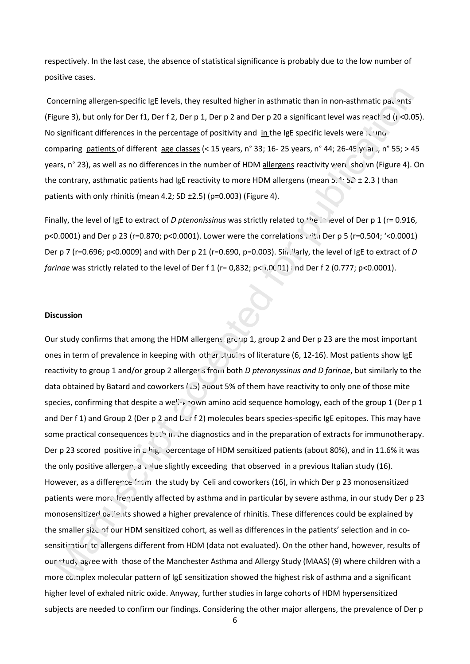respectively. In the last case, the absence of statistical significance is probably due to the low number of positive cases.

Concerning allergen-specific IgE levels, they resulted higher in asthmatic than in non-asthmatic patients (Figure 3), but only for Der f1, Der f 2, Der p 1, Der p 2 and Der p 20 a significant level was reached ( $\mu$  <0.05). No significant differences in the percentage of positivity and in the IgE specific levels were found comparing patients of different age classes (< 15 years, n° 33; 16- 25 years, n° 44; 26-45 yr ar ., n° 55; > 45 years, n° 23), as well as no differences in the number of HDM allergens reactivity were shown (Figure 4). On the contrary, asthmatic patients had IgE reactivity to more HDM allergens (mean 5.4; SD ± 2.3 ) than patients with only rhinitis (mean 4.2; SD ±2.5) (p=0.003) (Figure 4).

Finally, the level of IgE to extract of *D ptenonissinus* was strictly related to <sup>the</sup> level of Der p 1 (r= 0.916, p<0.0001) and Der p 23 (r=0.870; p<0.0001). Lower were the correlations with Der p 5 (r=0.504; '<0.0001) Der p 7 (r=0.696; p<0.0009) and with Der p 21 (r=0.690, p=0.003). Similarly, the level of IgE to extract of *D farinae* was strictly related to the level of Der f 1 (r= 0,832; p< $(0.01)$ ; nd Der f 2 (0.777; p<0.0001).

### **Discussion**

Our study confirms that among the HDM allergens, group 1, group 2 and Der p 23 are the most important ones in term of prevalence in keeping with other studies of literature (6, 12-16). Most patients show IgE reactivity to group 1 and/or group 2 allerger<sub>is</sub> from both *D pteronyssinus and D farinae*, but similarly to the data obtained by Batard and coworkers (15) about 5% of them have reactivity to only one of those mite species, confirming that despite a well-known amino acid sequence homology, each of the group 1 (Der p 1 and Der f 1) and Group 2 (Der p 2 and  $L(f 2)$  molecules bears species-specific IgE epitopes. This may have some practical consequences both in the diagnostics and in the preparation of extracts for immunotherapy. Der p 23 scored positive in a high percentage of HDM sensitized patients (about 80%), and in 11.6% it was the only positive allergen, a value slightly exceeding that observed in a previous Italian study (16). However, as a difference *from* the study by Celi and coworkers (16), in which Der p 23 monosensitized patients were more trequently affected by asthma and in particular by severe asthma, in our study Der p 23 monosensitized patients showed a higher prevalence of rhinitis. These differences could be explained by the smaller size of our HDM sensitized cohort, as well as differences in the patients' selection and in cosensitination to allergens different from HDM (data not evaluated). On the other hand, however, results of our study agree with those of the Manchester Asthma and Allergy Study (MAAS) (9) where children with a more complex molecular pattern of IgE sensitization showed the highest risk of asthma and a significant higher level of exhaled nitric oxide. Anyway, further studies in large cohorts of HDM hypersensitized subjects are needed to confirm our findings. Considering the other major allergens, the prevalence of Der p oncerning allergen-specifie (gE levels, they resulted higher in asthmatic than in non-asthmatic galachies<br>gure 3), but only for Der II. Der F 2. Der p 1. Der p 2 and Der p 20 a significant level was resched (i.ed).<br>Signif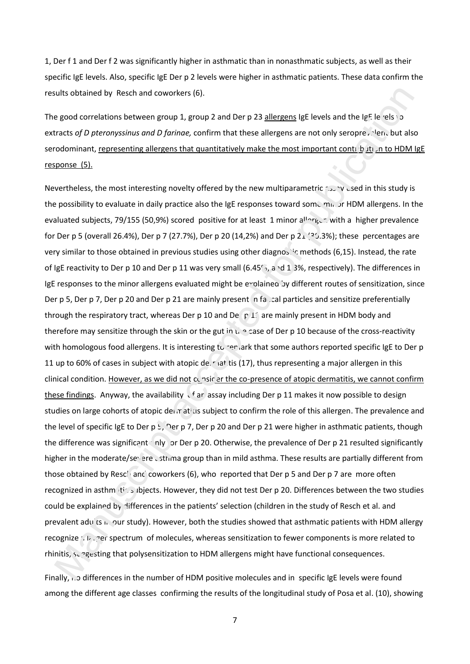1, Der f 1 and Der f 2 was significantly higher in asthmatic than in nonasthmatic subjects, as well as their specific IgE levels. Also, specific IgE Der p 2 levels were higher in asthmatic patients. These data confirm the results obtained by Resch and coworkers (6).

The good correlations between group 1, group 2 and Der p 23 allergens IgE levels and the IgE levels to extracts of D pteronyssinus and D farinae, confirm that these allergens are not only seropre, Nen, but also serodominant, representing allergens that quantitatively make the most important contribution to HDM IgE response (5).

Nevertheless, the most interesting novelty offered by the new multiparametric assay used in this study is the possibility to evaluate in daily practice also the IgE responses toward some minor HDM allergens. In the evaluated subjects, 79/155 (50,9%) scored positive for at least 1 minor allorgen with a higher prevalence for Der p 5 (overall 26.4%), Der p 7 (27.7%), Der p 20 (14,2%) and Der p  $2\perp$  ( $2\cdot$ .3%); these percentages are very similar to those obtained in previous studies using other diagnostic methods (6,15). Instead, the rate of IgE reactivity to Der p 10 and Der p 11 was very small (6.45%, and 1.3%, respectively). The differences in IgE responses to the minor allergens evaluated might be explained by different routes of sensitization, since Der p 5, Der p 7, Der p 20 and Der p 21 are mainly present in facile particles and sensitize preferentially through the respiratory tract, whereas Der p 10 and De  $p\,1$  are mainly present in HDM body and therefore may sensitize through the skin or the gut in  $t_0 \circ$  case of Der p 10 because of the cross-reactivity with homologous food allergens. It is interesting to remark that some authors reported specific IgE to Der p 11 up to 60% of cases in subject with atopic deerational tis (17), thus representing a major allergen in this clinical condition. However, as we did not consider the co-presence of atopic dermatitis, we cannot confirm these findings. Anyway, the availability  $\sqrt{ar}$  assay including Der p 11 makes it now possible to design studies on large cohorts of atopic dei  $r$  at is subject to confirm the role of this allergen. The prevalence and the level of specific IgE to Der p  $\frac{1}{2}$ , Der p 7, Der p 20 and Der p 21 were higher in asthmatic patients, though the difference was significant only for Der p 20. Otherwise, the prevalence of Der p 21 resulted significantly higher in the moderate/severe asthma group than in mild asthma. These results are partially different from those obtained by Resch and coworkers (6), who reported that Der p 5 and Der p 7 are more often recognized in asthmatic subjects. However, they did not test Der p 20. Differences between the two studies could be explained by differences in the patients' selection (children in the study of Resch et al. and prevalent adu's in our study). However, both the studies showed that asthmatic patients with HDM allergy recognize a larger spectrum of molecules, whereas sensitization to fewer components is more related to rhinitis,  $s_{\text{u}}$  agesting that polysensitization to HDM allergens might have functional consequences. e level of specific IgE to Der p 5, Der p 7<br>
e difference was significant inly for Der<br>
shear in the moderate/severe us thima grose<br>
obtained by Rescliencian coworkers<br>
(cognized in asthmitical biggets. However<br>
uld be exp prices (6).<br>
up 1, group 2 and Der p 23 <u>allergens</u> IgE levels and the IgE levels '0<br>
rinae, confirm that these allergens are not only seropre, Nen, but als<br>
is that quantitatively make the most important control but in t

Finally, ... o differences in the number of HDM positive molecules and in specific IgE levels were found among the different age classes confirming the results of the longitudinal study of Posa et al. (10), showing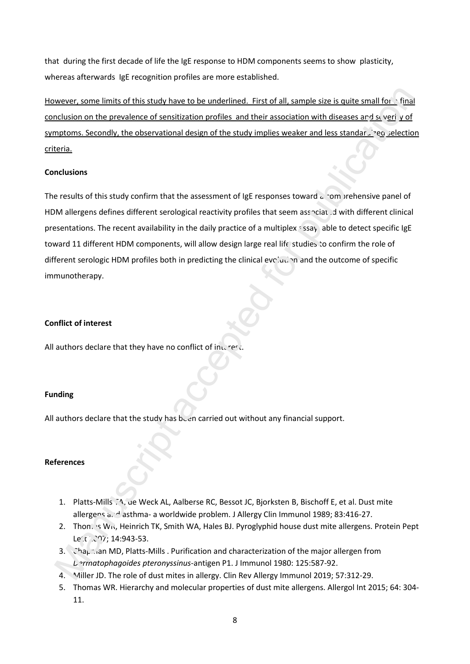that during the first decade of life the IgE response to HDM components seems to show plasticity, whereas afterwards IgE recognition profiles are more established.

However, some limits of this study have to be underlined. First of all, sample size is quite small for  $\cdot$  final conclusion on the prevalence of sensitization profiles and their association with diseases and severity of symptoms. Secondly, the observational design of the study implies weaker and less standardized selection criteria.

## **Conclusions**

The results of this study confirm that the assessment of IgE responses toward  $\alpha$  comprehensive panel of HDM allergens defines different serological reactivity profiles that seem associated with different clinical presentations. The recent availability in the daily practice of a multiplex  $\pm$  ssay, able to detect specific IgE toward 11 different HDM components, will allow design large real life studies to confirm the role of different serologic HDM profiles both in predicting the clinical evolution and the outcome of specific immunotherapy. wever, some limits of this study have to be underlined. First of all, sample size is quite small for . final<br>matiasion on the prevailence of sensitization profiles and their association with diseases and six yind yinf<br>mate

## **Conflict of interest**

All authors declare that they have no conflict of interest.

## **Funding**

All authors declare that the study has been carried out without any financial support.

## **References**

- 1. Platts-Mills TA, de Weck AL, Aalberse RC, Bessot JC, Bjorksten B, Bischoff E, et al. Dust mite allergens and asthma- a worldwide problem. J Allergy Clin Immunol 1989; 83:416-27.
- 2. Thomas WR, Heinrich TK, Smith WA, Hales BJ. Pyroglyphid house dust mite allergens. Protein Pept  $Le'$ .  $297$ ; 14:943-53.
- 3. Chapman MD, Platts-Mills . Purification and characterization of the major allergen from *Dermatophagoides pteronyssinus*-antigen P1. J Immunol 1980: 125:587-92.
- 4. Miller JD. The role of dust mites in allergy. Clin Rev Allergy Immunol 2019; 57:312-29.
- 5. Thomas WR. Hierarchy and molecular properties of dust mite allergens. Allergol Int 2015; 64: 304- 11.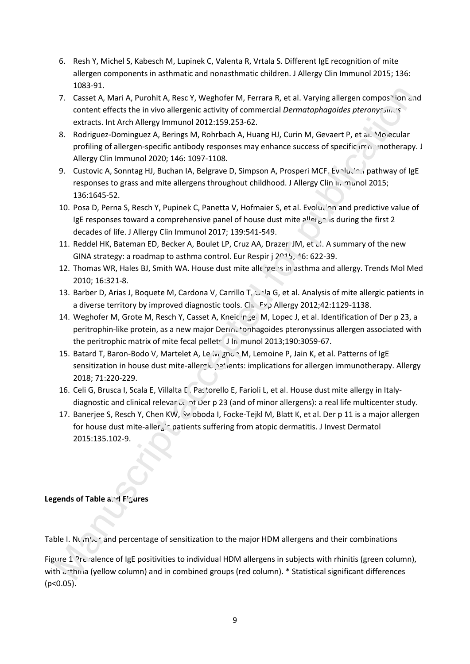- 6. Resh Y, Michel S, Kabesch M, Lupinek C, Valenta R, Vrtala S. Different IgE recognition of mite allergen components in asthmatic and nonasthmatic children. J Allergy Clin Immunol 2015; 136: 1083-91.
- 7. Casset A, Mari A, Purohit A, Resc Y, Weghofer M, Ferrara R, et al. Varying allergen compos<sup>14</sup>ion and content effects the in vivo allergenic activity of commercial *Dermatophagoides pteronyssinus* extracts. Int Arch Allergy Immunol 2012:159.253-62.
- 8. Rodriguez-Dominguez A, Berings M, Rohrbach A, Huang HJ, Curin M, Gevaert P, et al. Molecular profiling of allergen-specific antibody responses may enhance success of specific immunotherapy. J Allergy Clin Immunol 2020; 146: 1097-1108.
- 9. Custovic A, Sonntag HJ, Buchan IA, Belgrave D, Simpson A, Prosperi MCF. Evolution pathway of IgE responses to grass and mite allergens throughout childhood. J Allergy Clin In munol 2015; 136:1645-52.
- 10. Posa D, Perna S, Resch Y, Pupinek C, Panetta V, Hofmaier S, et al. Evolution and predictive value of IgE responses toward a comprehensive panel of house dust mite  $\mathsf{a}^{\text{II}}\mathsf{a}^{\text{II}}\mathsf{a}^{\text{II}}$  is during the first 2 decades of life. J Allergy Clin Immunol 2017; 139:541-549. 2002 The state of the state of the state of the state of the state of the state of the state of the state of the state of the state of the state of the state of the state of the state of the state of the state of the state
- 11. Reddel HK, Bateman ED, Becker A, Boulet LP, Cruz AA, Drazer JM, et al. A summary of the new GINA strategy: a roadmap to asthma control. Eur Respir j  $2^{n_1}$ 5, 16: 622-39.
- 12. Thomas WR, Hales BJ, Smith WA. House dust mite allergens in asthma and allergy. Trends Mol Med 2010; 16:321-8.
- 13. Barber D, Arias J, Boquete M, Cardona V, Carrillo T, Gala G, et al. Analysis of mite allergic patients in a diverse territory by improved diagnostic tools. Clin Exp Allergy 2012;42:1129-1138.
- 14. Weghofer M, Grote M, Resch Y, Casset A, Kneidinger M, Lopec J, et al. Identification of Der p 23, a peritrophin-like protein, as a new major Dermatophagoides pteronyssinus allergen associated with the peritrophic matrix of mite fecal pellets. J In munol 2013;190:3059-67.
- 15. Batard T, Baron-Bodo V, Martelet A, Le Mignon M, Lemoine P, Jain K, et al. Patterns of IgE sensitization in house dust mite-allergic patients: implications for allergen immunotherapy. Allergy 2018; 71:220-229.
- 16. Celi G, Brusca I, Scala E, Villalta D, Pastorello E, Farioli L, et al. House dust mite allergy in Italydiagnostic and clinical relevar  $c_{\epsilon}$  of Der p 23 (and of minor allergens): a real life multicenter study.
- 17. Banerjee S, Resch Y, Chen KW, W oboda I, Focke-Tejkl M, Blatt K, et al. Der p 11 is a major allergen for house dust mite-aller<sub>g</sub><sup>-</sup> patients suffering from atopic dermatitis. J Invest Dermatol 2015:135.102-9.

# Legends of Table and Figures

Table I. Number and percentage of sensitization to the major HDM allergens and their combinations

Figure 1 Pre valence of IgE positivities to individual HDM allergens in subjects with rhinitis (green column), with  $c$ <sup>+</sup>thma (yellow column) and in combined groups (red column). \* Statistical significant differences  $(p<0.05)$ .